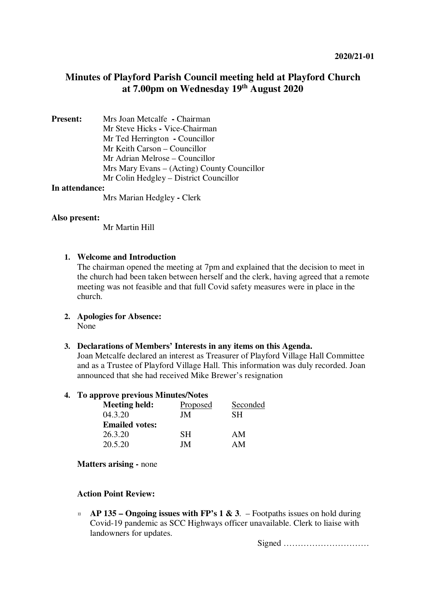# **Minutes of Playford Parish Council meeting held at Playford Church at 7.00pm on Wednesday 19th August 2020**

| <b>Present:</b> | Mrs Joan Metcalfe - Chairman                |
|-----------------|---------------------------------------------|
|                 | Mr Steve Hicks - Vice-Chairman              |
|                 | Mr Ted Herrington - Councillor              |
|                 | Mr Keith Carson – Councillor                |
|                 | Mr Adrian Melrose – Councillor              |
|                 | Mrs Mary Evans – (Acting) County Councillor |
|                 | Mr Colin Hedgley – District Councillor      |

#### **In attendance:**

Mrs Marian Hedgley **-** Clerk

#### **Also present:**

Mr Martin Hill

#### **1. Welcome and Introduction**

The chairman opened the meeting at 7pm and explained that the decision to meet in the church had been taken between herself and the clerk, having agreed that a remote meeting was not feasible and that full Covid safety measures were in place in the church.

#### **2. Apologies for Absence:** None

### **3. Declarations of Members' Interests in any items on this Agenda.**

Joan Metcalfe declared an interest as Treasurer of Playford Village Hall Committee and as a Trustee of Playford Village Hall. This information was duly recorded. Joan announced that she had received Mike Brewer's resignation

### **4. To approve previous Minutes/Notes**

| <b>Meeting held:</b>  | Proposed | Seconded |
|-----------------------|----------|----------|
| 04.3.20               | JM       | SН       |
| <b>Emailed votes:</b> |          |          |
| 26.3.20               | SН       | AM       |
| 20.5.20               | IМ       | AМ       |

**Matters arising - none** 

#### **Action Point Review:**

¤ **AP 135 – Ongoing issues with FP's 1 & 3**. – Footpaths issues on hold during Covid-19 pandemic as SCC Highways officer unavailable. Clerk to liaise with landowners for updates.

Signed …………………………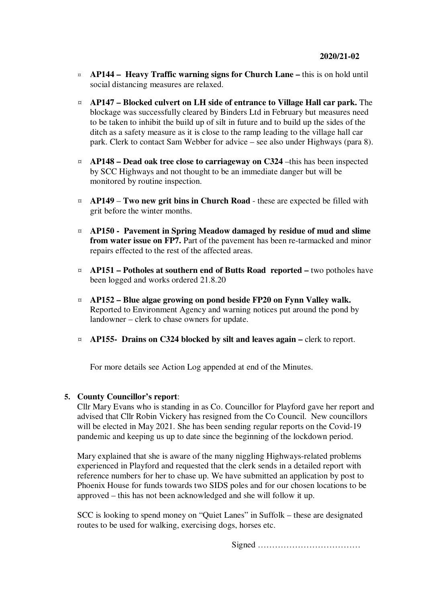- ¤ **AP144 Heavy Traffic warning signs for Church Lane** this is on hold until social distancing measures are relaxed.
- ¤ **AP147 Blocked culvert on LH side of entrance to Village Hall car park.** The blockage was successfully cleared by Binders Ltd in February but measures need to be taken to inhibit the build up of silt in future and to build up the sides of the ditch as a safety measure as it is close to the ramp leading to the village hall car park. Clerk to contact Sam Webber for advice – see also under Highways (para 8).
- ¤ **AP148 – Dead oak tree close to carriageway on C324** –this has been inspected by SCC Highways and not thought to be an immediate danger but will be monitored by routine inspection.
- ¤ **AP149 Two new grit bins in Church Road** these are expected be filled with grit before the winter months.
- ¤ **AP150 - Pavement in Spring Meadow damaged by residue of mud and slime from water issue on FP7.** Part of the pavement has been re-tarmacked and minor repairs effected to the rest of the affected areas.
- ¤ **AP151 Potholes at southern end of Butts Road reported** two potholes have been logged and works ordered 21.8.20
- ¤ **AP152 Blue algae growing on pond beside FP20 on Fynn Valley walk.**  Reported to Environment Agency and warning notices put around the pond by landowner – clerk to chase owners for update.
- ¤ **AP155- Drains on C324 blocked by silt and leaves again** clerk to report.

For more details see Action Log appended at end of the Minutes.

# **5. County Councillor's report**:

Cllr Mary Evans who is standing in as Co. Councillor for Playford gave her report and advised that Cllr Robin Vickery has resigned from the Co Council. New councillors will be elected in May 2021. She has been sending regular reports on the Covid-19 pandemic and keeping us up to date since the beginning of the lockdown period.

Mary explained that she is aware of the many niggling Highways-related problems experienced in Playford and requested that the clerk sends in a detailed report with reference numbers for her to chase up. We have submitted an application by post to Phoenix House for funds towards two SIDS poles and for our chosen locations to be approved – this has not been acknowledged and she will follow it up.

SCC is looking to spend money on "Quiet Lanes" in Suffolk – these are designated routes to be used for walking, exercising dogs, horses etc.

Signed ………………………………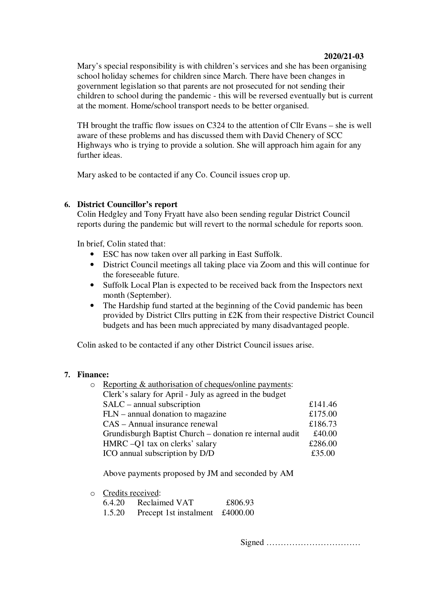### **2020/21-03**

Mary's special responsibility is with children's services and she has been organising school holiday schemes for children since March. There have been changes in government legislation so that parents are not prosecuted for not sending their children to school during the pandemic - this will be reversed eventually but is current at the moment. Home/school transport needs to be better organised.

TH brought the traffic flow issues on C324 to the attention of Cllr Evans – she is well aware of these problems and has discussed them with David Chenery of SCC Highways who is trying to provide a solution. She will approach him again for any further ideas.

Mary asked to be contacted if any Co. Council issues crop up.

# **6. District Councillor's report**

Colin Hedgley and Tony Fryatt have also been sending regular District Council reports during the pandemic but will revert to the normal schedule for reports soon.

In brief, Colin stated that:

- ESC has now taken over all parking in East Suffolk.
- District Council meetings all taking place via Zoom and this will continue for the foreseeable future.
- Suffolk Local Plan is expected to be received back from the Inspectors next month (September).
- The Hardship fund started at the beginning of the Covid pandemic has been provided by District Cllrs putting in £2K from their respective District Council budgets and has been much appreciated by many disadvantaged people.

Colin asked to be contacted if any other District Council issues arise.

# **7. Finance:**

| Clerk's salary for April - July as agreed in the budget  |         |
|----------------------------------------------------------|---------|
| SALC – annual subscription                               | £141.46 |
| $FLN$ – annual donation to magazine                      | £175.00 |
| CAS – Annual insurance renewal                           | £186.73 |
| Grundisburgh Baptist Church – donation re internal audit | £40.00  |
| HMRC -Q1 tax on clerks' salary                           | £286.00 |
| ICO annual subscription by D/D                           | £35.00  |

Above payments proposed by JM and seconded by AM

o Credits received:  $6.4.20 \text{ R}$ 

| 6.4.20 | Reclaimed VAT          | £806.93  |
|--------|------------------------|----------|
| 1.5.20 | Precept 1st instalment | £4000.00 |

Signed ……………………………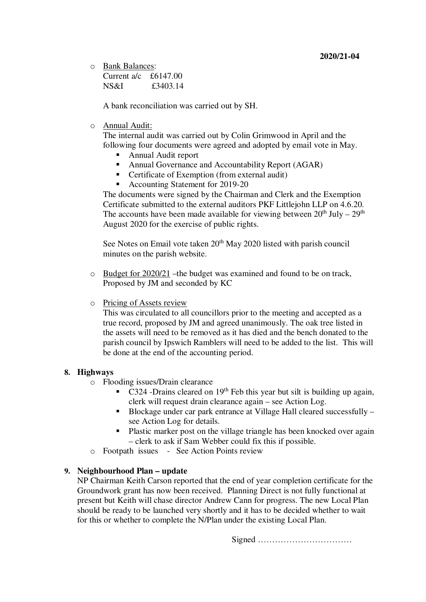o Bank Balances:

| Current a/c $£6147.00$ |          |
|------------------------|----------|
| NS&I                   | £3403.14 |

A bank reconciliation was carried out by SH.

### o Annual Audit:

The internal audit was carried out by Colin Grimwood in April and the following four documents were agreed and adopted by email vote in May.

- Annual Audit report
- Annual Governance and Accountability Report (AGAR)
- Certificate of Exemption (from external audit)
- Accounting Statement for 2019-20

The documents were signed by the Chairman and Clerk and the Exemption Certificate submitted to the external auditors PKF Littlejohn LLP on 4.6.20. The accounts have been made available for viewing between  $20<sup>th</sup>$  July –  $29<sup>th</sup>$ August 2020 for the exercise of public rights.

See Notes on Email vote taken  $20<sup>th</sup>$  May 2020 listed with parish council minutes on the parish website.

- o Budget for 2020/21 –the budget was examined and found to be on track, Proposed by JM and seconded by KC
- o Pricing of Assets review

This was circulated to all councillors prior to the meeting and accepted as a true record, proposed by JM and agreed unanimously. The oak tree listed in the assets will need to be removed as it has died and the bench donated to the parish council by Ipswich Ramblers will need to be added to the list. This will be done at the end of the accounting period.

# **8. Highways**

- o Flooding issues/Drain clearance
	- C324 -Drains cleared on  $19<sup>th</sup>$  Feb this year but silt is building up again, clerk will request drain clearance again – see Action Log.
	- Blockage under car park entrance at Village Hall cleared successfully see Action Log for details.
	- **Plastic marker post on the village triangle has been knocked over again** – clerk to ask if Sam Webber could fix this if possible.
- o Footpath issues See Action Points review

# **9. Neighbourhood Plan – update**

NP Chairman Keith Carson reported that the end of year completion certificate for the Groundwork grant has now been received. Planning Direct is not fully functional at present but Keith will chase director Andrew Cann for progress. The new Local Plan should be ready to be launched very shortly and it has to be decided whether to wait for this or whether to complete the N/Plan under the existing Local Plan.

Signed ……………………………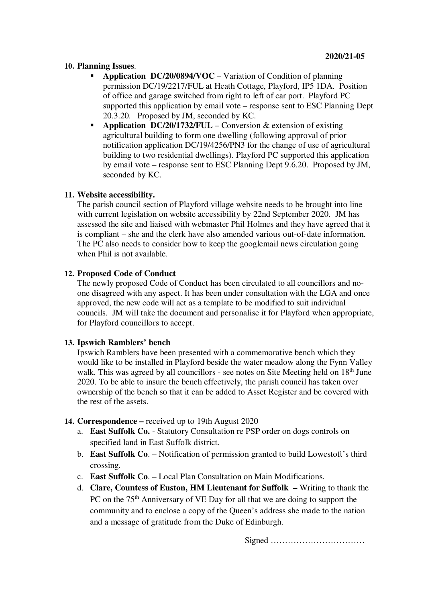### **10. Planning Issues**.

- **Application DC/20/0894/VOC** Variation of Condition of planning permission DC/19/2217/FUL at Heath Cottage, Playford, IP5 1DA. Position of office and garage switched from right to left of car port. Playford PC supported this application by email vote – response sent to ESC Planning Dept 20.3.20. Proposed by JM, seconded by KC.
- **Application DC/20/1732/FUL** Conversion & extension of existing agricultural building to form one dwelling (following approval of prior notification application DC/19/4256/PN3 for the change of use of agricultural building to two residential dwellings). Playford PC supported this application by email vote – response sent to ESC Planning Dept 9.6.20. Proposed by JM, seconded by KC.

# **11. Website accessibility.**

The parish council section of Playford village website needs to be brought into line with current legislation on website accessibility by 22nd September 2020. JM has assessed the site and liaised with webmaster Phil Holmes and they have agreed that it is compliant – she and the clerk have also amended various out-of-date information. The PC also needs to consider how to keep the googlemail news circulation going when Phil is not available.

### **12. Proposed Code of Conduct**

The newly proposed Code of Conduct has been circulated to all councillors and noone disagreed with any aspect. It has been under consultation with the LGA and once approved, the new code will act as a template to be modified to suit individual councils. JM will take the document and personalise it for Playford when appropriate, for Playford councillors to accept.

# **13. Ipswich Ramblers' bench**

Ipswich Ramblers have been presented with a commemorative bench which they would like to be installed in Playford beside the water meadow along the Fynn Valley walk. This was agreed by all councillors - see notes on Site Meeting held on  $18<sup>th</sup>$  June 2020. To be able to insure the bench effectively, the parish council has taken over ownership of the bench so that it can be added to Asset Register and be covered with the rest of the assets.

#### **14. Correspondence –** received up to 19th August 2020

- a. **East Suffolk Co.** Statutory Consultation re PSP order on dogs controls on specified land in East Suffolk district.
- b. **East Suffolk Co**. Notification of permission granted to build Lowestoft's third crossing.
- c. **East Suffolk Co**. Local Plan Consultation on Main Modifications.
- d. **Clare, Countess of Euston, HM Lieutenant for Suffolk** Writing to thank the PC on the 75<sup>th</sup> Anniversary of VE Day for all that we are doing to support the community and to enclose a copy of the Queen's address she made to the nation and a message of gratitude from the Duke of Edinburgh.

Signed ……………………………